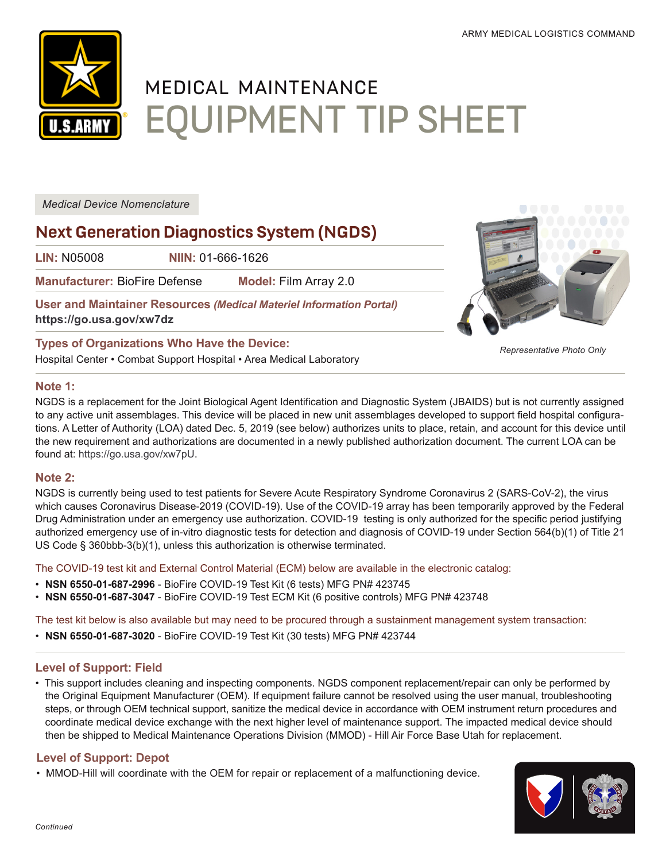*Representative Photo Only*



# MEDICAL MAINTENANCE EQUIPMENT TIP SHEET

*Medical Device Nomenclature*

# **Next Generation Diagnostics System (NGDS)**

**LIN:** N05008 **NIIN:** 01-666-1626

**Manufacturer:** BioFire Defense **Model:** Film Array 2.0

**User and Maintainer Resources** *(Medical Materiel Information Portal)* **[https://go.usa.gov/x](https://go.usa.gov/)w7dz**

# **Types of Organizations Who Have the Device:**

Hospital Center • Combat Support Hospital • Area Medical Laboratory

#### **Note 1:**



#### **Note 2:**

NGDS is currently being used to test patients for Severe Acute Respiratory Syndrome Coronavirus 2 (SARS-CoV-2), the virus which causes Coronavirus Disease-2019 (COVID-19). Use of the COVID-19 array has been temporarily approved by the Federal Drug Administration under an emergency use authorization. COVID-19 testing is only authorized for the specific period justifying authorized emergency use of in-vitro diagnostic tests for detection and diagnosis of COVID-19 under Section 564(b)(1) of Title 21 US Code § 360bbb-3(b)(1), unless this authorization is otherwise terminated.

The COVID-19 test kit and External Control Material (ECM) below are available in the electronic catalog:

- **NSN 6550-01-687-2996** BioFire COVID-19 Test Kit (6 tests) MFG PN# 423745
- **NSN 6550-01-687-3047** BioFire COVID-19 Test ECM Kit (6 positive controls) MFG PN# 423748

The test kit below is also available but may need to be procured through a sustainment management system transaction:

• **NSN 6550-01-687-3020** - BioFire COVID-19 Test Kit (30 tests) MFG PN# 423744

# **Level of Support: Field**

• This support includes cleaning and inspecting components. NGDS component replacement/repair can only be performed by the Original Equipment Manufacturer (OEM). If equipment failure cannot be resolved using the user manual, troubleshooting steps, or through OEM technical support, sanitize the medical device in accordance with OEM instrument return procedures and coordinate medical device exchange with the next higher level of maintenance support. The impacted medical device should then be shipped to Medical Maintenance Operations Division (MMOD) - Hill Air Force Base Utah for replacement.

# **Level of Support: Depot**

• MMOD-Hill will coordinate with the OEM for repair or replacement of a malfunctioning device.